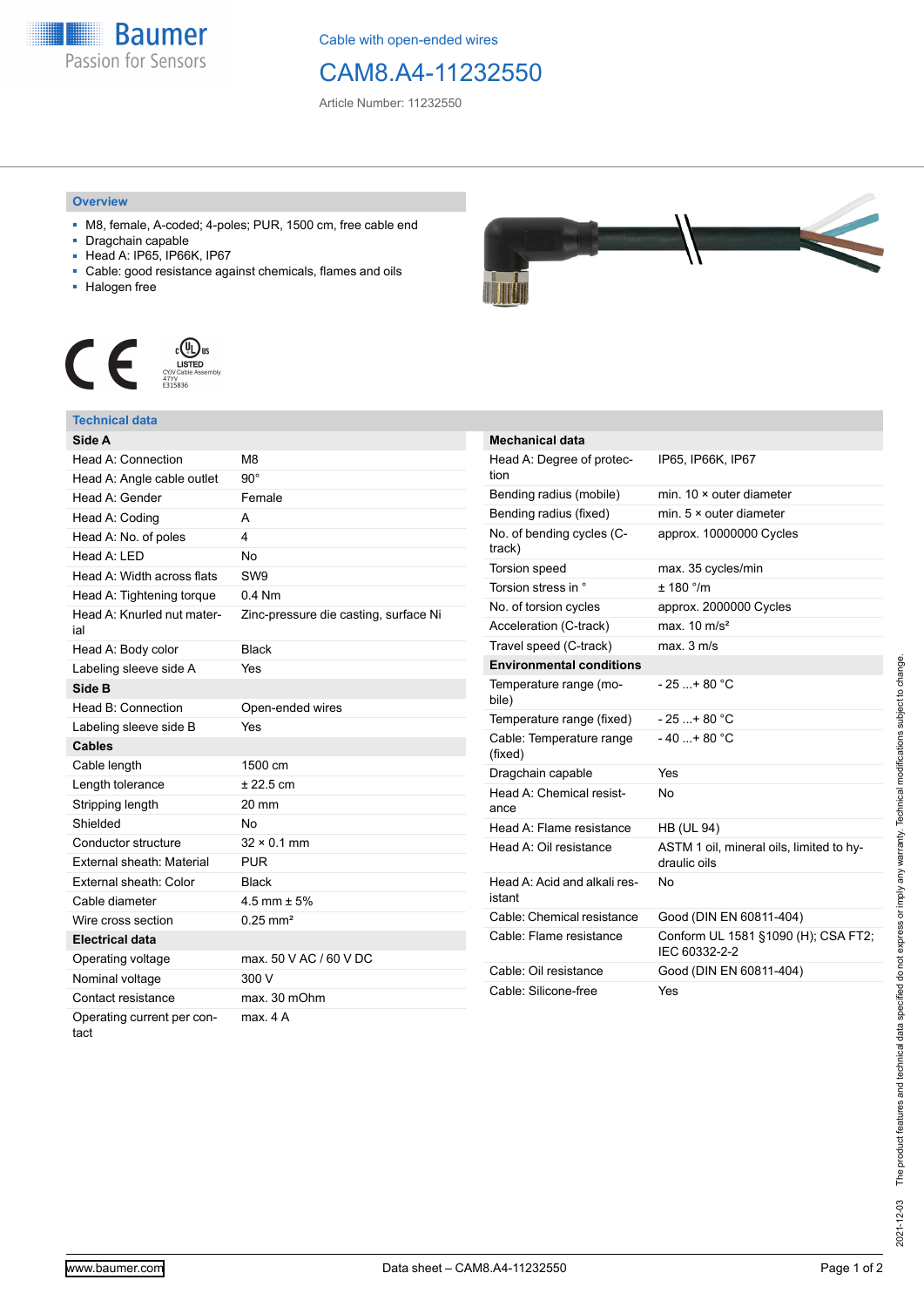

Cable with open-ended wires

## CAM8.A4-11232550

Article Number: 11232550

## **Overview**

- M8, female, A-coded; 4-poles; PUR, 1500 cm, free cable end
- Dragchain capable
- Head A: IP65, IP66K, IP67
- Cable: good resistance against chemicals, flames and oils
- Halogen free



## **Technical data**

| Side A                             |                                       |
|------------------------------------|---------------------------------------|
| Head A: Connection                 | M8                                    |
| Head A: Angle cable outlet         | $90^\circ$                            |
| Head A: Gender                     | Female                                |
| Head A: Coding                     | A                                     |
| Head A: No. of poles               | 4                                     |
| Head A: LED                        | <b>No</b>                             |
| Head A: Width across flats         | SW <sub>9</sub>                       |
| Head A: Tightening torque          | $0.4$ Nm                              |
| Head A: Knurled nut mater-<br>ial  | Zinc-pressure die casting, surface Ni |
| Head A: Body color                 | <b>Black</b>                          |
| Labeling sleeve side A             | Yes                                   |
| Side B                             |                                       |
| Head B: Connection                 | Open-ended wires                      |
| Labeling sleeve side B             | Yes                                   |
| <b>Cables</b>                      |                                       |
| Cable length                       | 1500 cm                               |
| Length tolerance                   | $± 22.5$ cm                           |
| Stripping length                   | 20 mm                                 |
| Shielded                           | No                                    |
| Conductor structure                | $32 \times 0.1$ mm                    |
| External sheath: Material          | <b>PUR</b>                            |
| External sheath: Color             | <b>Black</b>                          |
| Cable diameter                     | $4.5$ mm $\pm 5%$                     |
| Wire cross section                 | $0.25 \text{ mm}^2$                   |
| <b>Electrical data</b>             |                                       |
| Operating voltage                  | max. 50 V AC / 60 V DC                |
| Nominal voltage                    | 300 V                                 |
| Contact resistance                 | max. 30 mOhm                          |
| Operating current per con-<br>tact | max. 4 A                              |



| <b>Mechanical data</b>                 |                                                          |
|----------------------------------------|----------------------------------------------------------|
| Head A: Degree of protec-<br>tion      | IP65, IP66K, IP67                                        |
| Bending radius (mobile)                | min. $10 \times$ outer diameter                          |
| Bending radius (fixed)                 | min. $5 \times$ outer diameter                           |
| No. of bending cycles (C-<br>track)    | approx. 10000000 Cycles                                  |
| <b>Torsion speed</b>                   | max. 35 cycles/min                                       |
| Torsion stress in °                    | $+ 180$ $\degree$ /m                                     |
| No. of torsion cycles                  | approx. 2000000 Cycles                                   |
| Acceleration (C-track)                 | max. $10 \text{ m/s}^2$                                  |
| Travel speed (C-track)                 | max. 3 m/s                                               |
| <b>Environmental conditions</b>        |                                                          |
| Temperature range (mo-<br>bile)        | - 25 + 80 °C                                             |
| Temperature range (fixed)              | $-25+80 °C$                                              |
| Cable: Temperature range<br>(fixed)    | $-40+80 °C$                                              |
| Dragchain capable                      | Yes                                                      |
| Head A: Chemical resist-<br>ance       | N٥                                                       |
| Head A: Flame resistance               | <b>HB (UL 94)</b>                                        |
| Head A: Oil resistance                 | ASTM 1 oil, mineral oils, limited to hy-<br>draulic oils |
| Head A: Acid and alkali res-<br>istant | No                                                       |
| Cable: Chemical resistance             | Good (DIN EN 60811-404)                                  |
| Cable: Flame resistance                | Conform UL 1581 §1090 (H); CSA FT2;<br>IEC 60332-2-2     |
| Cable: Oil resistance                  | Good (DIN EN 60811-404)                                  |
| Cable: Silicone-free                   | Yes                                                      |